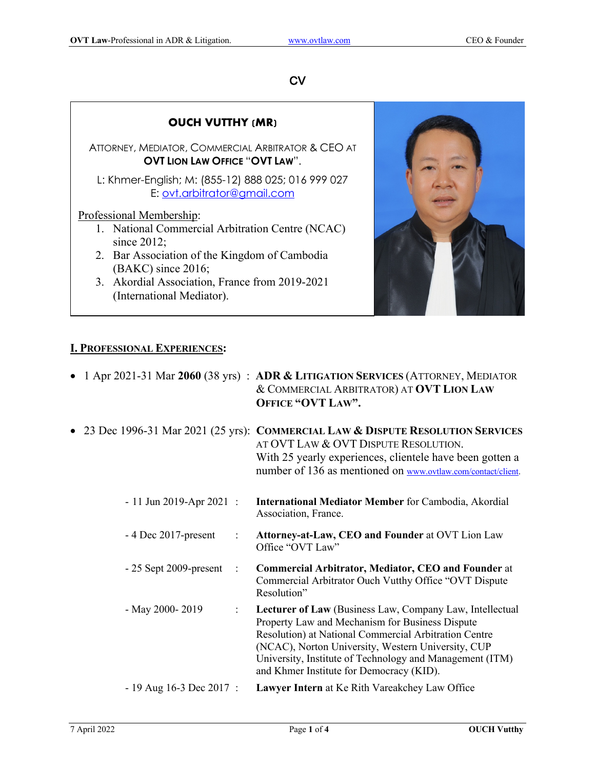## $CV$

|                                                                                             | <b>OUCH VUTTHY (MR)</b>                                                |  |  |
|---------------------------------------------------------------------------------------------|------------------------------------------------------------------------|--|--|
| ATTORNEY, MEDIATOR, COMMERCIAL ARBITRATOR & CEO AT<br><b>OVT LION LAW OFFICE "OVT LAW".</b> |                                                                        |  |  |
| L: Khmer-English; M: (855-12) 888 025; 016 999 027<br>E: ovt.arbitrator@gmail.com           |                                                                        |  |  |
|                                                                                             | Professional Membership:                                               |  |  |
|                                                                                             | 1. National Commercial Arbitration Centre (NCAC)<br>since $2012$ ;     |  |  |
|                                                                                             | 2. Bar Association of the Kingdom of Cambodia                          |  |  |
|                                                                                             | $(BAKC)$ since 2016;<br>3. Akordial Association, France from 2019-2021 |  |  |
|                                                                                             | (International Mediator).                                              |  |  |

## **I. PROFESSIONAL EXPERIENCES:**

|                                           | • 1 Apr 2021-31 Mar 2060 (38 yrs) : ADR & LITIGATION SERVICES (ATTORNEY, MEDIATOR<br>& COMMERCIAL ARBITRATOR) AT OVT LION LAW<br>OFFICE "OVT LAW".                                                                                                                                                                                 |
|-------------------------------------------|------------------------------------------------------------------------------------------------------------------------------------------------------------------------------------------------------------------------------------------------------------------------------------------------------------------------------------|
|                                           | • 23 Dec 1996-31 Mar 2021 (25 yrs): COMMERCIAL LAW & DISPUTE RESOLUTION SERVICES<br>AT OVT LAW & OVT DISPUTE RESOLUTION.<br>With 25 yearly experiences, clientele have been gotten a<br>number of 136 as mentioned on www.ovtlaw.com/contact/client.                                                                               |
| $-11$ Jun 2019-Apr 2021 :                 | <b>International Mediator Member for Cambodia, Akordial</b><br>Association, France.                                                                                                                                                                                                                                                |
| $-4$ Dec 2017-present<br>$\ddot{\cdot}$   | Attorney-at-Law, CEO and Founder at OVT Lion Law<br>Office "OVT Law"                                                                                                                                                                                                                                                               |
| $-25$ Sept 2009-present<br>$\ddot{\cdot}$ | <b>Commercial Arbitrator, Mediator, CEO and Founder at</b><br>Commercial Arbitrator Ouch Vutthy Office "OVT Dispute<br>Resolution"                                                                                                                                                                                                 |
| - May 2000-2019<br>$\ddot{\cdot}$         | Lecturer of Law (Business Law, Company Law, Intellectual<br>Property Law and Mechanism for Business Dispute<br>Resolution) at National Commercial Arbitration Centre<br>(NCAC), Norton University, Western University, CUP<br>University, Institute of Technology and Management (ITM)<br>and Khmer Institute for Democracy (KID). |
| $-19$ Aug 16-3 Dec 2017 :                 | Lawyer Intern at Ke Rith Vareakchey Law Office                                                                                                                                                                                                                                                                                     |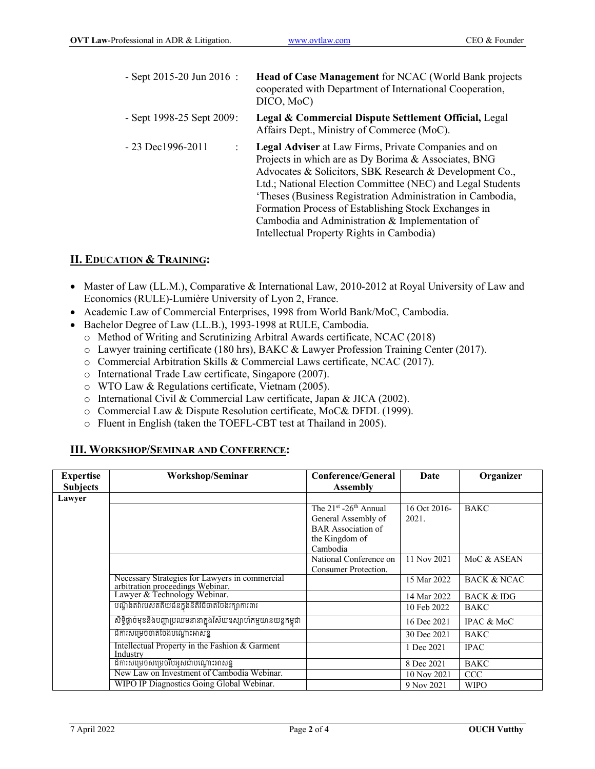| $-$ Sept 2015-20 Jun 2016 :    | Head of Case Management for NCAC (World Bank projects<br>cooperated with Department of International Cooperation,<br>DICO, MoC)                                                                                                                                                                                                                                                                                                                                    |
|--------------------------------|--------------------------------------------------------------------------------------------------------------------------------------------------------------------------------------------------------------------------------------------------------------------------------------------------------------------------------------------------------------------------------------------------------------------------------------------------------------------|
| - Sept $1998-25$ Sept $2009$ : | Legal & Commercial Dispute Settlement Official, Legal<br>Affairs Dept., Ministry of Commerce (MoC).                                                                                                                                                                                                                                                                                                                                                                |
| $-23$ Dec1996-2011             | <b>Legal Adviser</b> at Law Firms, Private Companies and on<br>Projects in which are as Dy Borima & Associates, BNG<br>Advocates & Solicitors, SBK Research & Development Co.,<br>Ltd.; National Election Committee (NEC) and Legal Students<br>'Theses (Business Registration Administration in Cambodia,<br>Formation Process of Establishing Stock Exchanges in<br>Cambodia and Administration & Implementation of<br>Intellectual Property Rights in Cambodia) |

## **II. EDUCATION & TRAINING:**

- Master of Law (LL.M.), Comparative & International Law, 2010-2012 at Royal University of Law and Economics (RULE)-Lumière University of Lyon 2, France.
- Academic Law of Commercial Enterprises, 1998 from World Bank/MoC, Cambodia.
- Bachelor Degree of Law (LL.B.), 1993-1998 at RULE, Cambodia.
	- o Method of Writing and Scrutinizing Arbitral Awards certificate, NCAC (2018)
	- o Lawyer training certificate (180 hrs), BAKC & Lawyer Profession Training Center (2017).
	- o Commercial Arbitration Skills & Commercial Laws certificate, NCAC (2017).
	- o International Trade Law certificate, Singapore (2007).
	- o WTO Law & Regulations certificate, Vietnam (2005).
	- o International Civil & Commercial Law certificate, Japan & JICA (2002).
	- o Commercial Law & Dispute Resolution certificate, MoC& DFDL (1999).
	- o Fluent in English (taken the TOEFL-CBT test at Thailand in 2005).

## **III. WORKSHOP/SEMINAR AND CONFERENCE:**

| <b>Expertise</b> | Workshop/Seminar                                                                   | <b>Conference/General</b> | Date         | Organizer              |
|------------------|------------------------------------------------------------------------------------|---------------------------|--------------|------------------------|
| <b>Subjects</b>  |                                                                                    | <b>Assembly</b>           |              |                        |
| Lawyer           |                                                                                    |                           |              |                        |
|                  |                                                                                    | The $21st - 26th$ Annual  | 16 Oct 2016- | <b>BAKC</b>            |
|                  |                                                                                    | General Assembly of       | 2021.        |                        |
|                  |                                                                                    | <b>BAR</b> Association of |              |                        |
|                  |                                                                                    | the Kingdom of            |              |                        |
|                  |                                                                                    | Cambodia                  |              |                        |
|                  |                                                                                    | National Conference on    | 11 Nov 2021  | MoC & ASEAN            |
|                  |                                                                                    | Consumer Protection.      |              |                        |
|                  | Necessary Strategies for Lawyers in commercial<br>arbitration proceedings Webinar. |                           | 15 Mar 2022  | <b>BACK &amp; NCAC</b> |
|                  | Lawyer & Technology Webinar.                                                       |                           | 14 Mar 2022  | <b>BACK &amp; IDG</b>  |
|                  | បណ្តឹងតវ៉ារបស់តតិយជនក្នុងនីតិវិធីចាត់ចែងរក្សាការពារ                                |                           | 10 Feb 2022  | <b>BAKC</b>            |
|                  | សិទ្ធិផ្តាច់មុខនិងបញ្ហាប្រឈមនានាក្នុងវិស័យឧស្សាហ៍កម្មយានយន្តកម្ពុជា                |                           | 16 Dec 2021  | IPAC & MoC             |
|                  | ដីការសម្រេចចាត់ចែងបណ្តោះអាសន្ន                                                     |                           | 30 Dec 2021  | <b>BAKC</b>            |
|                  | Intellectual Property in the Fashion & Garment<br>Industry                         |                           | 1 Dec 2021   | <b>IPAC</b>            |
|                  | ដិការសម្រេចសម្រេចរឹបអូសជាបណ្តោះអាសន្ន                                              |                           | 8 Dec 2021   | <b>BAKC</b>            |
|                  | New Law on Investment of Cambodia Webinar.                                         |                           | 10 Nov 2021  | <b>CCC</b>             |
|                  | WIPO IP Diagnostics Going Global Webinar.                                          |                           | 9 Nov 2021   | <b>WIPO</b>            |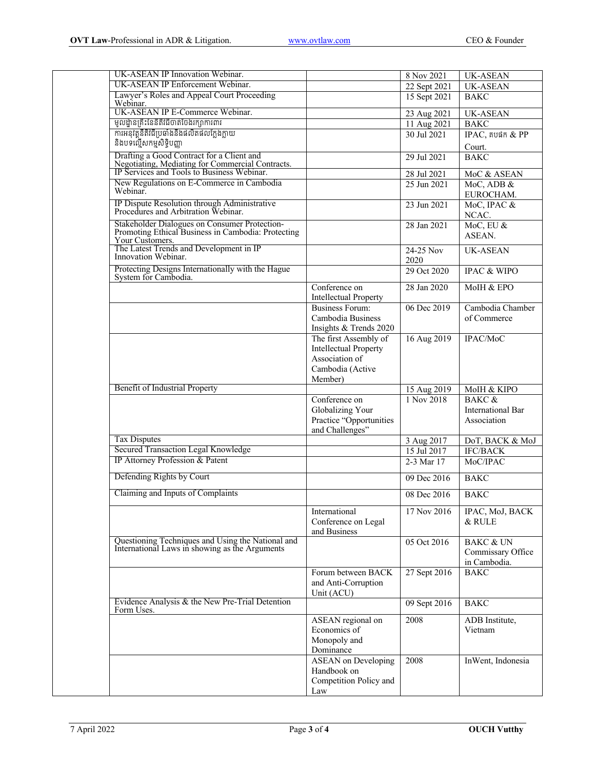| UK-ASEAN IP Innovation Webinar.                                                                                                                                                                  |                                                                                                        | 8 Nov 2021                | <b>UK-ASEAN</b>                                           |
|--------------------------------------------------------------------------------------------------------------------------------------------------------------------------------------------------|--------------------------------------------------------------------------------------------------------|---------------------------|-----------------------------------------------------------|
| UK-ASEAN IP Enforcement Webinar.                                                                                                                                                                 |                                                                                                        | $\overline{22}$ Sept 2021 | <b>UK-ASEAN</b>                                           |
| Lawyer's Roles and Appeal Court Proceeding<br>Webinar.                                                                                                                                           |                                                                                                        | 15 Sept 2021              | <b>BAKC</b>                                               |
| UK-ASEAN IP E-Commerce Webinar.                                                                                                                                                                  |                                                                                                        | 23 Aug 2021               | <b>UK-ASEAN</b>                                           |
| មូលដ្ឋានគ្រឹះនែនីតិវិធីចាត់ចែងរក្សាការពារ                                                                                                                                                        |                                                                                                        | 11 Aug 2021               | <b>BAKC</b>                                               |
| ការអនុវត្តនីតិវិធីប្រឆាំងនឹងផលិតផលក្លែងក្លាយ                                                                                                                                                     |                                                                                                        | 30 Jul 2021               | $IPAC$ , គបផក $&$ $PP$                                    |
| និងបទល្មើសកម្មសិទ្ធិបញ្ញា                                                                                                                                                                        |                                                                                                        |                           | Court.                                                    |
| Drafting a Good Contract for a Client and<br>Negotiating, Mediating for Commercial Contracts.<br>IP Services and Tools to Business Webinar.                                                      |                                                                                                        | 29 Jul 2021               | <b>BAKC</b>                                               |
|                                                                                                                                                                                                  |                                                                                                        | 28 Jul 2021               | MoC & ASEAN                                               |
| New Regulations on E-Commerce in Cambodia<br>Webinar.                                                                                                                                            |                                                                                                        | 25 Jun 2021               | MoC, ADB &<br>EUROCHAM.                                   |
| IP Dispute Resolution through Administrative<br>Procedures and Arbitration Webinar.                                                                                                              |                                                                                                        | 23 Jun 2021               | MoC, IPAC &<br>NCAC.                                      |
| Stakeholder Dialogues on Consumer Protection-<br>Promoting Ethical Business in Cambodia: Protecting<br><b>The Latest Trends and Development in IP</b><br>The Latest Trends and Development in IP |                                                                                                        | 28 Jan 2021               | MoC, EU &<br>ASEAN.                                       |
| Innovation Webinar.                                                                                                                                                                              |                                                                                                        | 24-25 Nov<br>2020         | <b>UK-ASEAN</b>                                           |
| Protecting Designs Internationally with the Hague<br>System for Cambodia.                                                                                                                        |                                                                                                        | 29 Oct 2020               | <b>IPAC &amp; WIPO</b>                                    |
|                                                                                                                                                                                                  | Conference on<br><b>Intellectual Property</b>                                                          | 28 Jan 2020               | MoIH & EPO                                                |
|                                                                                                                                                                                                  | <b>Business Forum:</b><br>Cambodia Business<br>Insights & Trends 2020                                  | 06 Dec 2019               | Cambodia Chamber<br>of Commerce                           |
|                                                                                                                                                                                                  | The first Assembly of<br><b>Intellectual Property</b><br>Association of<br>Cambodia (Active<br>Member) | 16 Aug 2019               | IPAC/MoC                                                  |
| <b>Benefit of Industrial Property</b>                                                                                                                                                            |                                                                                                        | 15 Aug 2019               | MoIH & KIPO                                               |
|                                                                                                                                                                                                  | Conference on<br>Globalizing Your<br>Practice "Opportunities<br>and Challenges"                        | 1 Nov 2018                | BAKC &<br><b>International Bar</b><br>Association         |
| <b>Tax Disputes</b>                                                                                                                                                                              |                                                                                                        | 3 Aug 2017                | DoT, BACK & MoJ                                           |
| Secured Transaction Legal Knowledge                                                                                                                                                              |                                                                                                        | 15 Jul 2017               | <b>IFC/BACK</b>                                           |
| IP Attorney Profession & Patent                                                                                                                                                                  |                                                                                                        | 2-3 Mar 17                | MoC/IPAC                                                  |
| Defending Rights by Court                                                                                                                                                                        |                                                                                                        | 09 Dec 2016               | <b>BAKC</b>                                               |
| Claiming and Inputs of Complaints                                                                                                                                                                |                                                                                                        | 08 Dec 2016               | <b>BAKC</b>                                               |
|                                                                                                                                                                                                  | International<br>Conference on Legal<br>and Business                                                   | 17 Nov 2016               | IPAC, MoJ, BACK<br>& RULE                                 |
| Questioning Techniques and Using the National and<br>International Laws in showing as the Arguments                                                                                              |                                                                                                        | 05 Oct 2016               | <b>BAKC &amp; UN</b><br>Commissary Office<br>in Cambodia. |
|                                                                                                                                                                                                  | Forum between BACK<br>and Anti-Corruption<br>Unit (ACU)                                                | 27 Sept 2016              | <b>BAKC</b>                                               |
| Evidence Analysis & the New Pre-Trial Detention<br>Form Uses.                                                                                                                                    |                                                                                                        | 09 Sept 2016              | <b>BAKC</b>                                               |
|                                                                                                                                                                                                  | ASEAN regional on<br>Economics of<br>Monopoly and<br>Dominance                                         | 2008                      | ADB Institute,<br>Vietnam                                 |
|                                                                                                                                                                                                  | <b>ASEAN</b> on Developing<br>Handbook on<br>Competition Policy and<br>Law                             | 2008                      | InWent, Indonesia                                         |